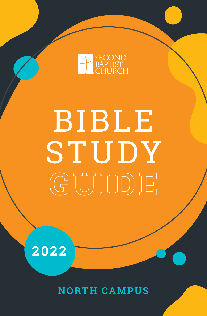

# BIBLE ST UDY **GUIDE**

**2022**

**NORTH CAMPUS**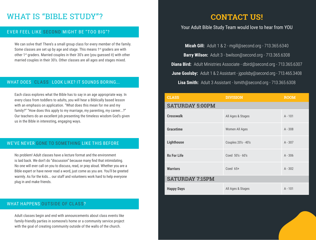# WHAT IS "BIBLE STUDY"?

# EVER FEEL LIKE SECOND MIGHT BE "TOO BIG"?

We can solve that! There's a small group class for every member of the family. Some classes are set up by age and stage. This means 1<sup>st</sup> graders are with other 1st graders. Married couples in their 30's are (you guessed it) with other married couples in their 30's. Other classes are all ages and stages mixed.

# WHAT DOES CLASS LOOK LIKE? IT SOUNDS BORING...

Each class explores what the Bible has to say in an age appropriate way. In every class from toddlers to adults, you will hear a Biblically based lesson with an emphasis on application. "What does this mean for me and my family?" "How does this apply to my marriage, my parenting, my career...?" Our teachers do an excellent job presenting the timeless wisdom God's given us in the Bible in interesting, engaging ways.

# WE'VE NEVER GONE TO SOMETHING LIKE THIS BEFORE

No problem! Adult classes have a lecture format and the environment is laid back. We don't do "discussion" because many find that intimidating. No one will ever call on you to discuss, read, or pray aloud. Whether you are a Bible expert or have never read a word, just come as you are. You'll be greeted warmly. As for the kids... our staff and volunteers work hard to help everyone plug in and make friends.

# WHAT HAPPENS OUTSIDE OF CLASS?

Adult classes begin and end with announcements about class events like family-friendly parties in someone's home or a community service project with the goal of creating community outside of the walls of the church.

# **CONTACT US!**

# Your Adult Bible Study Team would love to hear from YOU

**Micah Gill:** Adult 1 & 2 - mgill@second.org - 713.365.6340 **Barry Wilson:** Adult 3 - bwilson@second.org - 713.365.6308 **Diana Bird:** Adult Ministries Associate - dbird@second.org - 713.365.6307 **June Goolsby:** Adult 1 & 2 Assistant - jgoolsby@second.org - 713.465.3408 **Lisa Smith:** Adult 3 Assistant - lsmith@second.org - 713.365.6308

| <b>CLASS</b>           | <b>DIVISION</b>     | <b>ROOM</b> |  |
|------------------------|---------------------|-------------|--|
| <b>SATURDAY 5:00PM</b> |                     |             |  |
| <b>Crosswalk</b>       | All Ages & Stages   | $A - 101$   |  |
| <b>Gracetime</b>       | Women All Ages      | $A - 308$   |  |
| <b>Lighthouse</b>      | Couples 20's - 40's | $A - 307$   |  |
| <b>Rx For Life</b>     | Coed 50's - 60's    | $A - 306$   |  |
| <b>Warriors</b>        | Coed $65+$          | $A - 302$   |  |
| <b>SATURDAY 7:15PM</b> |                     |             |  |
| <b>Happy Days</b>      | All Ages & Stages   | $A - 101$   |  |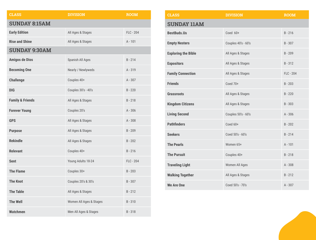| <b>CLASS</b>                | <b>DIVISION</b>         | <b>ROOM</b> |  |  |
|-----------------------------|-------------------------|-------------|--|--|
| <b>SUNDAY 8:15AM</b>        |                         |             |  |  |
| <b>Early Edition</b>        | All Ages & Stages       | FLC - 204   |  |  |
| <b>Rise and Shine</b>       | All Ages & Stages       | $A - 101$   |  |  |
| <b>SUNDAY 9:30AM</b>        |                         |             |  |  |
| <b>Amigos de Dios</b>       | Spanish All Ages        | $B - 214$   |  |  |
| <b>Becoming One</b>         | Nearly / Newlyweds      | $A - 319$   |  |  |
| <b>Challenge</b>            | Couples 40+             | $A - 307$   |  |  |
| <b>DIG</b>                  | Couples 30's - 40's     | $B - 220$   |  |  |
| <b>Family &amp; Friends</b> | All Ages & Stages       | $B - 218$   |  |  |
| <b>Forever Young</b>        | Couples 20's            | $A - 306$   |  |  |
| <b>GPS</b>                  | All Ages & Stages       | $A - 308$   |  |  |
| <b>Purpose</b>              | All Ages & Stages       | $B - 209$   |  |  |
| <b>Rekindle</b>             | All Ages & Stages       | $B - 202$   |  |  |
| <b>Relevant</b>             | Couples 40+             | $B - 216$   |  |  |
| <b>Sent</b>                 | Young Adults 18-24      | FLC - 204   |  |  |
| <b>The Flame</b>            | Couples 30+             | $B - 203$   |  |  |
| <b>The Knot</b>             | Couples 20's & 30's     | $B - 307$   |  |  |
| <b>The Table</b>            | All Ages & Stages       | $B - 212$   |  |  |
| <b>The Well</b>             | Women All Ages & Stages | $B - 310$   |  |  |
| <b>Watchmen</b>             | Men All Ages & Stages   | $B - 318$   |  |  |

| <b>CLASS</b>               | <b>DIVISION</b>     | <b>ROOM</b> |
|----------------------------|---------------------|-------------|
| <b>SUNDAY 11AM</b>         |                     |             |
| <b>BestBuds.Us</b>         | Coed 60+            | $B - 216$   |
| <b>Empty Nesters</b>       | Couples 40's - 60's | $B - 307$   |
| <b>Exploring the Bible</b> | All Ages & Stages   | $B - 209$   |
| <b>Expositors</b>          | All Ages & Stages   | $B - 312$   |
| <b>Family Connection</b>   | All Ages & Stages   | FLC - 204   |
| <b>Friends</b>             | Coed 70+            | $B - 203$   |
| <b>Grassroots</b>          | All Ages & Stages   | $B - 220$   |
| <b>Kingdom Citizens</b>    | All Ages & Stages   | $B - 303$   |
| <b>Living Second</b>       | Couples 50's - 60's | $A - 306$   |
| <b>Pathfinders</b>         | Coed 60+            | $B - 202$   |
| <b>Seekers</b>             | Coed 50's - 60's    | $B - 214$   |
| <b>The Pearls</b>          | Women 65+           | $A - 101$   |
| <b>The Pursuit</b>         | Couples 40+         | $B - 218$   |
| <b>Traveling Light</b>     | Women All Ages      | $A - 308$   |
| <b>Walking Together</b>    | All Ages & Stages   | $B - 212$   |
| <b>We Are One</b>          | Coed 50's - 70's    | $A - 307$   |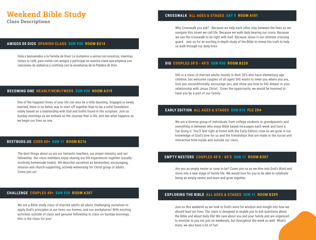# **Weekend Bible Study**

**Class Descriptions**

#### **AMIGOS DE DIOS SPANISH CLASS SUN 930 ROOM B214**

Hola y bienvenidos a la Familia de Dios! Le invitamos a unirse con nosotros, mientras tomas tu café, para visitar con amigos y participar en nuestra clase que empieza con canciones de alabanza y continúa con la enseñansa de la Palabra de Dios.

#### **BECOMING ONE NEARLY/NEWLYWEDS SUN 930 ROOM A319**

One of the happiest times of your life can also be a little daunting. Engaged or newly married, there is no better way to start off together than to lay a solid foundation solely based on a relationship with God and truths found in His scripture. Join us Sunday mornings as we embark on the Journey that is life, and see what happens as we begin our lives as one.

#### **BESTBUDS.US COED 60+ SUN 11 ROOM B216**

The best things about us are our fantastic teachers, our prayer ministry, and our fellowship. Our class members enjoy sharing our life experiences together (usually involving homemade treats). We describe ourselves as benevolent, encouraging, mission and church-supporting, actively witnessing for Christ group of adults. Come join us!

## **CROSSWALK ALL AGES & STAGES SAT 5 ROOM A101**

Why Crosswalk you ask? -Because we help each other stay between the lines as we navigate this street we call life. Because we walk daily bearing our cross. Because we use the crosswalk to be right with God. Because Jesus is our ultimate crossing guard. Join us for an exciting in-depth study of the Bible to reveal His truth to help us walk through our daily lives.

#### **DIG COUPLES 30'S - 40'S SUN 930 ROOM B220**

DIG is a class of married adults mostly in their 30's who have elementary age children, but welcome couples of all ages! DIG wants to meet you where you are, love you unconditionally, encourage you, and show you how to DIG deeper in your relationship with Jesus Christ. Given the opportunity, we would be honored to have you be a part of our family.

#### **EARLY EDITION ALL AGES & STAGES SUN 815 FLC 204**

We are a diverse group of individuals from college students to grandparents and everything in between who enjoy Bible based messages each week and have a fun doing it. You'll feel right at home with the Early Edition crew as we grow in our knowledge of God's love for us and the friendships that are made in the social and interactive time inside and outside our class.

#### **EMPTY NESTERS COUPLES 40'S - 60'S SUN 11 ROOM B307**

Are you an empty nester or soon to be? Come join us as we dive into God's Word and move into a new stage of family life. We would love for you to be able to celebrate being an empty nester and learn and grow together.

#### **CHALLENGE COUPLES 40+ SUN 930 ROOM A307**

We are a Bible study class of married adults all about challenging ourselves to apply God's principles in our lives, our homes, and our workplaces! With exciting activities outside of class and genuine fellowship in class on Sunday mornings, this is the class for you!

#### **EXPLORING THE BIBLE ALL AGES & STAGES SUN 11 ROOM B209**

Join us this weekend as we look to God's word for wisdom and insight into how we should lead our lives. Our class is designed to enable you to ask questions about the Bible and about daily life! We care about you and your family and are organized to minister to you not just on weekends, but throughout the week as well. What's more, we also have a lot of fun!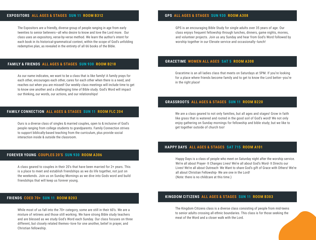#### **EXPOSITORS ALL AGES & STAGES SUN 11 ROOM B312**

The Expositors are a friendly, diverse group of people ranging in age from early twenties to senior believers—all who desire to know and love the Lord more. Our class uses an expository, verse-by-verse method. We learn the author's intent for each book in its historical-grammatical context, within the scope of God's unfolding redemptive plan, as revealed in the entirety of all 66 books of the Bible.

#### **FAMILY & FRIENDS ALL AGES & STAGES SUN 930 ROOM B218**

As our name indicates, we want to be a class that is like family! A family prays for each other, encourages each other, cares for each other when there is a need, and reaches out when you are missed! Our weekly class meetings will include time to get to know one another and a challenging time of Bible study. God's Word will impact our thinking, our words, our actions, and our relationships!

#### **FAMILY CONNECTION ALL AGES & STAGES SUN 11 ROOM FLC 204**

Ours is a diverse class of singles & married couples, open to & inclusive of God's people ranging from college students to grandparents. Family Connection strives to support biblically-based teaching from the curriculum, plus provide social interaction inside & outside the classroom.

#### **FOREVER YOUNG COUPLES 20'S SUN 930 ROOM A306**

A class geared to couples in their 20's that have been married for 2+ years. This is a place to meet and establish friendships as we do life together, not just on the weekends. Join us on Sunday Mornings as we dive into Gods word and build friendships that will keep us forever young.

#### **FRIENDS COED 70+ SUN 11 ROOM B203**

While most of us fall into the 70+ category, some are still in their 60's. We are a mixture of retirees and those still working. We have strong Bible study teachers and are blessed as we study God's Word each Sunday. Our class focuses on three different, but closely related themes--love for one another, belief in prayer, and Christian fellowship.

#### **GPS ALL AGES & STAGES SUN 930 ROOM A308**

GPS is an encouraging Bible Study for single adults over 35 years of age. Our class enjoys frequent fellowship through lunches, dinners, game nights, movies, and volunteer projects. Join us any Sunday and hear from God's Word followed by worship together in our Elevate service and occasionally--lunch!

#### **GRACETIME WOMEN ALL AGES SAT 5 ROOM A308**

Gracetime is an all ladies class that meets on Saturdays at 5PM. If you're looking for a place where friends become family and to get to know the Lord better--you're in the right place!

#### **GRASSROOTS ALL AGES & STAGES SUN 11 ROOM B220**

We are a class geared to not only families, but all ages and stages! Grow in faith like grass that is watered and rooted in the good soil of God's word! We not only enjoy gathering on Sunday mornings for fellowship and bible study; but we like to get together outside of church too!

#### **HAPPY DAYS ALL AGES & STAGES SAT 715 ROOM A101**

Happy Days is a class of people who meet on Saturday night after the worship service. We're all about Prayer- It Changes Lives! We're all about God's Word- It Directs our Lives! We're all about Outreach- We Want to share God's gift of Grace with Others! We're all about Christian Fellowship- We are one in the Lord! (Note: there is no childcare at this time.)

#### **KINGDOM CITIZENS ALL AGES & STAGES SUN 11 ROOM B303**

The Kingdom Citizens class is a diverse class consisting of people from mid-teens to senior adults crossing all ethnic boundaries. This class is for those seeking the meat of the Word and a closer walk with the Lord.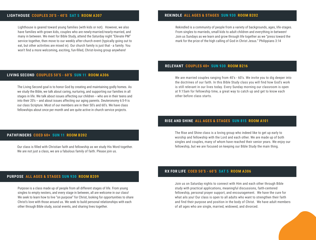#### **LIGHTHOUSE COUPLES 20'S - 40'S SAT 5 ROOM A307**

Lighthouse is geared toward young families (with kids or not). However, we also have families with grown kids, couples who are newly-married/nearly-married, and many in between. We meet for Bible Study, attend the Saturday night "Elevate PM" service together, then move to our weekly after-church event (typically going out to eat, but other activities are mixed in). Our church family is just that - a family. You won't find a more welcoming, exciting, fun-filled, Christ-loving group anywhere!

#### **LIVING SECOND COUPLES 50'S - 60'S SUN 11 ROOM A306**

The Living Second goal is to honor God by creating and maintaining godly homes. As we study the Bible, we talk about caring, nurturing, and supporting our families in all stages in life. We talk about issues affecting our children -- who are in their teens and into their 20's -- and about issues affecting our aging parents. Deuteronomy 6:5-9 is our class Scripture. Most of our members are in their 50's and 60's. We have class fellowships about once per month and are quite active in church service projects.

#### **PATHFINDERS COED 60+ SUN 11 ROOM B202**

Our class is filled with Christian faith and fellowship as we study His Word together. We are not just a class, we are a fabulous family of faith. Please join us.

#### **REKINDLE ALL AGES & STAGES SUN 930 ROOM B202**

Rekindled is a community of people from a variety of backgrounds, ages, life-stages. From singles to marrieds, small kids to adult children and everything in-between! Join us Sundays as we learn and grow through life together as we "press toward the mark for the prize of the high calling of God in Christ Jesus." Philippians 3:14

#### **RELEVANT COUPLES 40+ SUN 930 ROOM B216**

We are married couples ranging from 40's - 60's. We invite you to dig deeper into the doctrines of our faith. In this Bible Study class you will find how God's work is still relevant in our lives today. Every Sunday morning our classroom is open at 9:15am for fellowship time, a great way to catch up and get to know each other before class starts.

#### **RISE AND SHINE ALL AGES & STAGES SUN 815 ROOM A101**

The Rise and Shine class is a loving group who indeed like to get up early to worship and fellowship with the Lord and each other. We are made up of both singles and couples, many of whom have reached their senior years. We enjoy our fellowship, but we are focused on keeping our Bible Study the main thing.

#### **PURPOSE ALL AGES & STAGES SUN 930 ROOM B209**

Purpose is a class made up of people from all different stages of life. From young singles to empty nesters, and every stage in between, all are welcome in our class! We seek to learn how to live "on purpose" for Christ, looking for opportunities to share Christ's love with those around us. We seek to build personal relationships with each other through Bible study, social events, and sharing lives together.

#### **RX FOR LIFE COED 50'S - 60'S SAT 5 ROOM A306**

Join us on Saturday nights to connect with Him and each other through Bible study with practical applications, meaningful discussions, faith-centered fellowship, personal prayer support, and encouragement. We have the cure for what ails you! Our class is open to all adults who want to strengthen their faith and find their purpose and position in the body of Christ. We have adult members of all ages who are single, married, widowed, and divorced.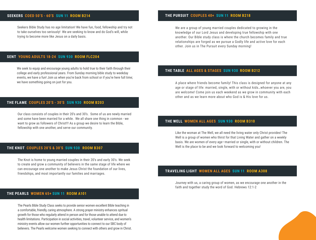#### **SEEKERS COED 50'S - 60'S SUN 11 ROOM B214**

Seekers Bible Study has no age limitation! We have fun, food, fellowship and try not to take ourselves too seriously! We are seeking to know and do God's will, while trying to become more like Jesus on a daily basis.

#### **THE PURSUIT COUPLES 40+ SUN 11 ROOM B218**

We are a group of young married couples dedicated to growing in the knowledge of our Lord Jesus and developing true fellowship with one another. Our Bible study class is where the church becomes family and true relationships are forged as we pursue a Godly life and active love for each other. Join us in The Pursuit every Sunday morning!

#### **SENT YOUNG ADULTS 18-24 SUN 930 ROOM FLC204**

We seek to equip and encourage young adults to hold true to their faith through their college and early professional years. From Sunday morning bible study to weekday events, we have a fun! Join us when you're back from school or if you're here full time; we have something going on just for you.

#### **THE FLAME COUPLES 20'S - 30'S SUN 930 ROOM B203**

Our class consists of couples in their 20's and 30's. Some of us are newly married and some have been married for a while. We all share one thing in common - we want to grow as followers of Christ!!! As a group we desire to learn the Bible, fellowship with one another, and serve our community.

#### **THE KNOT COUPLES 20'S & 30'S SUN 930 ROOM B307**

The Knot is home to young married couples in their 20's and early 30's. We seek to create and grow a community of believers in the same stage of life where we can encourage one another to make Jesus Christ the foundation of our lives, friendships, and most importantly our families and marriages.

#### **THE PEARLS WOMEN 65+ SUN 11 ROOM A101**

The Pearls Bible Study Class seeks to provide senior women excellent Bible teaching in a comfortable, friendly, caring atmosphere. A strong prayer ministry enhances spritual growth for those who regularly attend in person and for those unable to attend due to health limitations. Participation in social activities, travel, volunteer service, and women's ministry events allow our women further opportunities to connect to our SBC body of believers. The Pearls welcome women seeking to connect with others and grow in Christ.

#### **THE TABLE ALL AGES & STAGES SUN 930 ROOM B212**

A place where friends become family! This class is designed for anyone at any age or stage of life: married, single, with or without kids…whoever you are, you are welcome! Come join us each weekend as we grow in community with each other and as we learn more about who God is & His love for us.

#### **THE WELL WOMEN ALL AGES SUN 930 ROOM B310**

Like the woman at The Well, we all need the living water only Christ provides! The Well is a group of women who thirst for that Living Water and gather on a weekly basis. We are women of every age—married or single, with or without children. The Well is the place to be and we look forward to welcoming you!

#### **TRAVELING LIGHT WOMEN ALL AGES SUN 11 ROOM A308**

Journey with us, a caring group of women, as we encourage one another in the faith and together study the word of God. Hebrews 12:1-2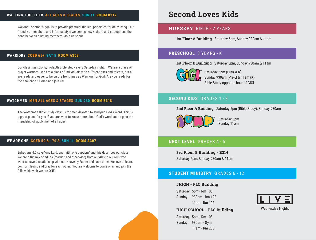#### **WALKING TOGETHER ALL AGES & STAGES SUN 11 ROOM B212**

Walking Together's goal is to provide practical Biblical principles for daily living. Our friendly atmosphere and informal style welcomes new visitors and strengthens the bond between existing members. Join us soon!

#### **WARRIORS COED 65+ SAT 5 ROOM A302**

Our class has strong, in-depth Bible study every Saturday night. We are a class of prayer warriors. We are a class of individuals with different gifts and talents, but all are ready and eager to be on the front lines as Warriors for God. Are you ready for the challenge? Come and join us!

#### **WATCHMEN MEN ALL AGES & STAGES SUN 930 ROOM B318**

The Watchmen Bible Study class is for men devoted to studying God's Word. This is a great place for you if you are want to know more about God's word and to gain the friendship of godly men of all ages.

#### **WE ARE ONE COED 50'S - 70'S SUN 11 ROOM A307**

Ephesians 4:5 says "one Lord, one faith, one baptism" and this describes our class. We are a fun mix of adults (married and otherwise) from our 40's to our 60's who want to have a relationship with our Heavenly Father and each other. We love to learn, comfort, laugh, and pray for each other. You are welcome to come on in and join the fellowship with We are ONE!

# **Second Loves Kids**

#### **NURSERY** BIRTH - 2 YEARS

**1st Floor A Building** - Saturday 5pm, Sunday 930am & 11am

# **PRESCHOOL** 3 YEARS - K

**1st Floor B Building** - Saturday 5pm, Sunday 930am & 11am



Saturday 5pm (PreK & K) Sunday 930am (PreK) & 11am (K) Bible Study opposite hour of GiGL

## **SECOND KIDS** GRADES 1 - 3

#### **2nd Floor A Building** - Saturday 5pm (Bible Study), Sunday 930am



Saturday 6pm Sunday 11am

# **NEXT LEVEL** GRADES 4 - 5

**3rd Floor B Building - B314** Saturday 5pm, Sunday 930am & 11am

# **STUDENT MINISTRY** GRADES 6 - 12

#### **JHIGH - FLC Building**

Saturday 5pm - Rm 108 Sunday 930am - Rm 108 11am - Rm 108



**HIGH SCHOOL - FLC Building**

Saturday 5pm - Rm 108 Sunday 930am - Gym 11am - Rm 205 Wednesday Nights